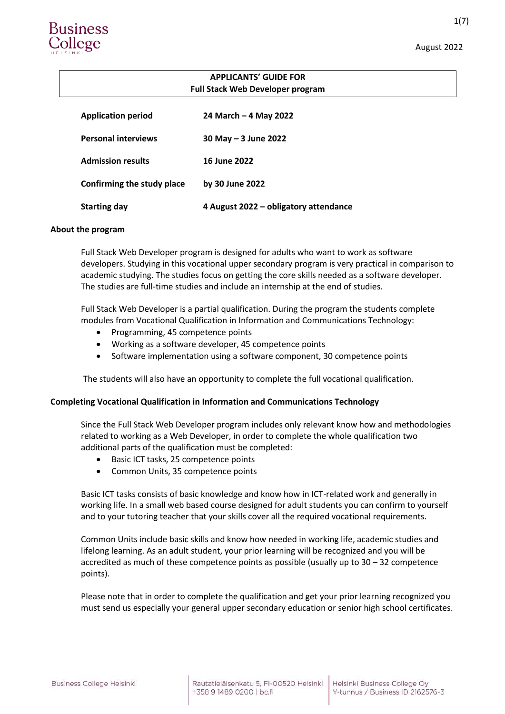1(7)

# **Business** college'

# **APPLICANTS' GUIDE FOR Full Stack Web Developer program**

| <b>Application period</b>  | 24 March – 4 May 2022                 |
|----------------------------|---------------------------------------|
| <b>Personal interviews</b> | 30 May - 3 June 2022                  |
| <b>Admission results</b>   | 16 June 2022                          |
| Confirming the study place | by 30 June 2022                       |
| <b>Starting day</b>        | 4 August 2022 – obligatory attendance |

#### **About the program**

Full Stack Web Developer program is designed for adults who want to work as software developers. Studying in this vocational upper secondary program is very practical in comparison to academic studying. The studies focus on getting the core skills needed as a software developer. The studies are full-time studies and include an internship at the end of studies.

Full Stack Web Developer is a partial qualification. During the program the students complete modules from Vocational Qualification in Information and Communications Technology:

- Programming, 45 competence points
- Working as a software developer, 45 competence points
- Software implementation using a software component, 30 competence points

The students will also have an opportunity to complete the full vocational qualification.

## **Completing Vocational Qualification in Information and Communications Technology**

Since the Full Stack Web Developer program includes only relevant know how and methodologies related to working as a Web Developer, in order to complete the whole qualification two additional parts of the qualification must be completed:

- Basic ICT tasks, 25 competence points
- Common Units, 35 competence points

Basic ICT tasks consists of basic knowledge and know how in ICT-related work and generally in working life. In a small web based course designed for adult students you can confirm to yourself and to your tutoring teacher that your skills cover all the required vocational requirements.

Common Units include basic skills and know how needed in working life, academic studies and lifelong learning. As an adult student, your prior learning will be recognized and you will be accredited as much of these competence points as possible (usually up to  $30 - 32$  competence points).

Please note that in order to complete the qualification and get your prior learning recognized you must send us especially your general upper secondary education or senior high school certificates.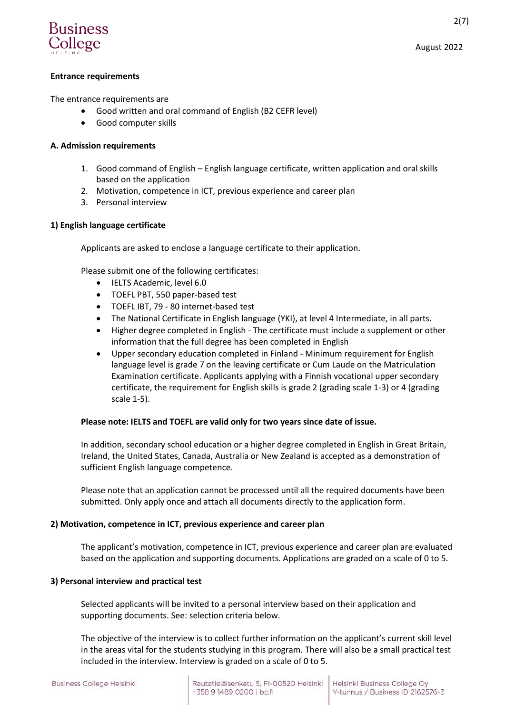

The entrance requirements are

- Good written and oral command of English (B2 CEFR level)
- Good computer skills

# **A. Admission requirements**

- 1. Good command of English English language certificate, written application and oral skills based on the application
- 2. Motivation, competence in ICT, previous experience and career plan
- 3. Personal interview

# **1) English language certificate**

Applicants are asked to enclose a language certificate to their application.

Please submit one of the following certificates:

- IELTS Academic, level 6.0
- TOEFL PBT, 550 paper-based test
- TOEFL IBT, 79 80 internet-based test
- The National Certificate in English language (YKI), at level 4 Intermediate, in all parts.
- Higher degree completed in English The certificate must include a supplement or other information that the full degree has been completed in English
- Upper secondary education completed in Finland Minimum requirement for English language level is grade 7 on the leaving certificate or Cum Laude on the Matriculation Examination certificate. Applicants applying with a Finnish vocational upper secondary certificate, the requirement for English skills is grade 2 (grading scale 1-3) or 4 (grading scale 1-5).

# **Please note: IELTS and TOEFL are valid only for two years since date of issue.**

In addition, secondary school education or a higher degree completed in English in Great Britain, Ireland, the United States, Canada, Australia or New Zealand is accepted as a demonstration of sufficient English language competence.

Please note that an application cannot be processed until all the required documents have been submitted. Only apply once and attach all documents directly to the application form.

# **2) Motivation, competence in ICT, previous experience and career plan**

The applicant's motivation, competence in ICT, previous experience and career plan are evaluated based on the application and supporting documents. Applications are graded on a scale of 0 to 5.

# **3) Personal interview and practical test**

Selected applicants will be invited to a personal interview based on their application and supporting documents. See: selection criteria below.

The objective of the interview is to collect further information on the applicant's current skill level in the areas vital for the students studying in this program. There will also be a small practical test included in the interview. Interview is graded on a scale of 0 to 5.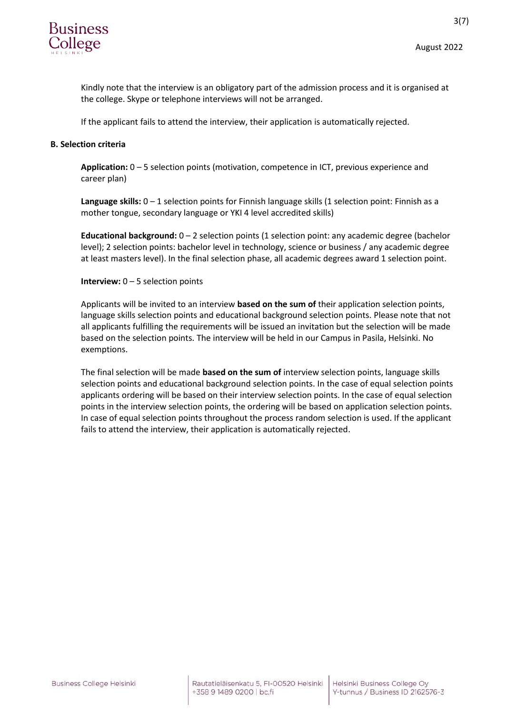

3(7)

Kindly note that the interview is an obligatory part of the admission process and it is organised at the college. Skype or telephone interviews will not be arranged.

If the applicant fails to attend the interview, their application is automatically rejected.

## **B. Selection criteria**

**Application:** 0 – 5 selection points (motivation, competence in ICT, previous experience and career plan)

**Language skills:** 0 – 1 selection points for Finnish language skills (1 selection point: Finnish as a mother tongue, secondary language or YKI 4 level accredited skills)

**Educational background:** 0 – 2 selection points (1 selection point: any academic degree (bachelor level); 2 selection points: bachelor level in technology, science or business / any academic degree at least masters level). In the final selection phase, all academic degrees award 1 selection point.

#### **Interview:** 0 – 5 selection points

Applicants will be invited to an interview **based on the sum of** their application selection points, language skills selection points and educational background selection points. Please note that not all applicants fulfilling the requirements will be issued an invitation but the selection will be made based on the selection points. The interview will be held in our Campus in Pasila, Helsinki. No exemptions.

The final selection will be made **based on the sum of** interview selection points, language skills selection points and educational background selection points. In the case of equal selection points applicants ordering will be based on their interview selection points. In the case of equal selection points in the interview selection points, the ordering will be based on application selection points. In case of equal selection points throughout the process random selection is used. If the applicant fails to attend the interview, their application is automatically rejected.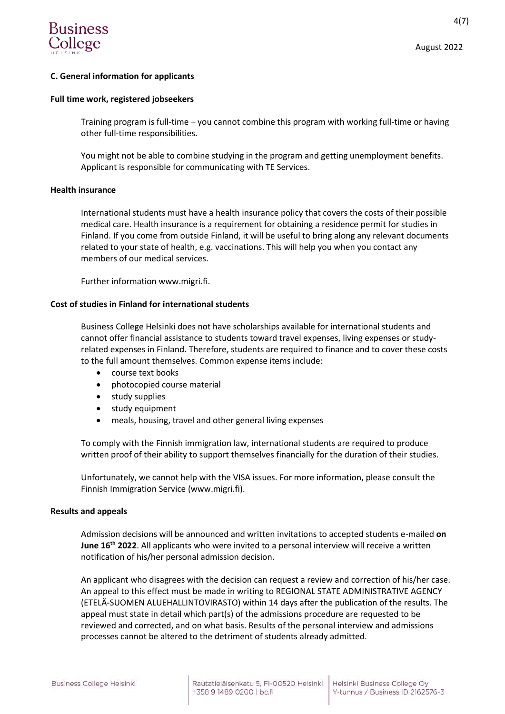

4(7)

# **C. General information for applicants**

## **Full time work, registered jobseekers**

Training program is full-time – you cannot combine this program with working full-time or having other full-time responsibilities.

You might not be able to combine studying in the program and getting unemployment benefits. Applicant is responsible for communicating with TE Services.

#### **Health insurance**

International students must have a health insurance policy that covers the costs of their possible medical care. Health insurance is a requirement for obtaining a residence permit for studies in Finland. If you come from outside Finland, it will be useful to bring along any relevant documents related to your state of health, e.g. vaccinations. This will help you when you contact any members of our medical services.

Further information www.migri.fi.

#### **Cost of studies in Finland for international students**

Business College Helsinki does not have scholarships available for international students and cannot offer financial assistance to students toward travel expenses, living expenses or studyrelated expenses in Finland. Therefore, students are required to finance and to cover these costs to the full amount themselves. Common expense items include:

- course text books
- photocopied course material
- study supplies
- study equipment
- meals, housing, travel and other general living expenses

To comply with the Finnish immigration law, international students are required to produce written proof of their ability to support themselves financially for the duration of their studies.

Unfortunately, we cannot help with the VISA issues. For more information, please consult the Finnish Immigration Service (www.migri.fi).

#### **Results and appeals**

Admission decisions will be announced and written invitations to accepted students e-mailed **on June 16th 2022**. All applicants who were invited to a personal interview will receive a written notification of his/her personal admission decision.

An applicant who disagrees with the decision can request a review and correction of his/her case. An appeal to this effect must be made in writing to REGIONAL STATE ADMINISTRATIVE AGENCY (ETELÄ-SUOMEN ALUEHALLINTOVIRASTO) within 14 days after the publication of the results. The appeal must state in detail which part(s) of the admissions procedure are requested to be reviewed and corrected, and on what basis. Results of the personal interview and admissions processes cannot be altered to the detriment of students already admitted.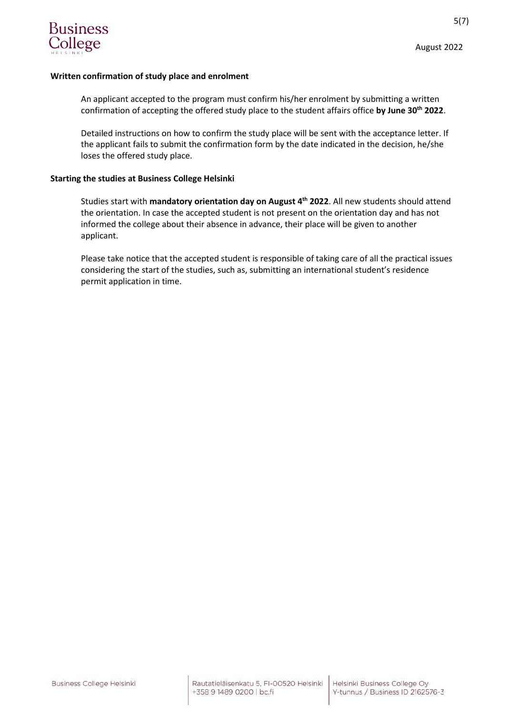

## **Written confirmation of study place and enrolment**

An applicant accepted to the program must confirm his/her enrolment by submitting a written confirmation of accepting the offered study place to the student affairs office **by June 30th 2022**.

Detailed instructions on how to confirm the study place will be sent with the acceptance letter. If the applicant fails to submit the confirmation form by the date indicated in the decision, he/she loses the offered study place.

## **Starting the studies at Business College Helsinki**

Studies start with **mandatory orientation day on August 4th 2022**. All new students should attend the orientation. In case the accepted student is not present on the orientation day and has not informed the college about their absence in advance, their place will be given to another applicant.

Please take notice that the accepted student is responsible of taking care of all the practical issues considering the start of the studies, such as, submitting an international student's residence permit application in time.

August 2022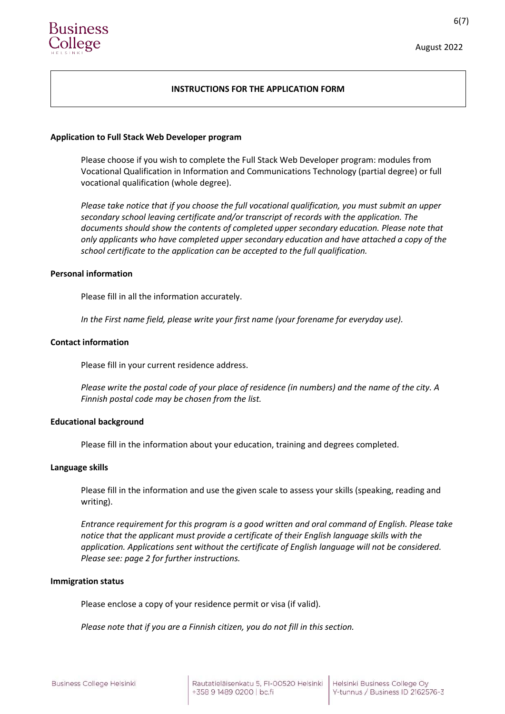## **INSTRUCTIONS FOR THE APPLICATION FORM**

#### **Application to Full Stack Web Developer program**

Please choose if you wish to complete the Full Stack Web Developer program: modules from Vocational Qualification in Information and Communications Technology (partial degree) or full vocational qualification (whole degree).

*Please take notice that if you choose the full vocational qualification, you must submit an upper secondary school leaving certificate and/or transcript of records with the application. The documents should show the contents of completed upper secondary education. Please note that only applicants who have completed upper secondary education and have attached a copy of the school certificate to the application can be accepted to the full qualification.*

## **Personal information**

Please fill in all the information accurately.

*In the First name field, please write your first name (your forename for everyday use).*

#### **Contact information**

Please fill in your current residence address.

*Please write the postal code of your place of residence (in numbers) and the name of the city. A Finnish postal code may be chosen from the list.*

#### **Educational background**

Please fill in the information about your education, training and degrees completed.

#### **Language skills**

Please fill in the information and use the given scale to assess your skills (speaking, reading and writing).

*Entrance requirement for this program is a good written and oral command of English. Please take notice that the applicant must provide a certificate of their English language skills with the application. Applications sent without the certificate of English language will not be considered. Please see: page 2 for further instructions.*

#### **Immigration status**

Please enclose a copy of your residence permit or visa (if valid).

*Please note that if you are a Finnish citizen, you do not fill in this section.*

August 2022